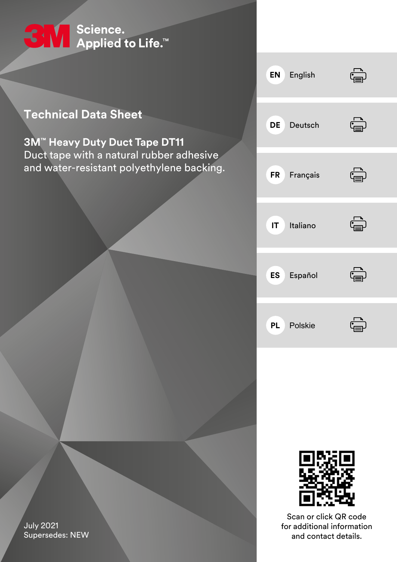

### **Technical Data Sheet**

**3M™ Heavy Duty Duct Tape DT11** Duct tape with a natural rubber adhesive and water-resistant polyethylene backing.





Scan or click QR code for additional information and contact details.

<span id="page-0-0"></span>July 2021 Supersedes: NEW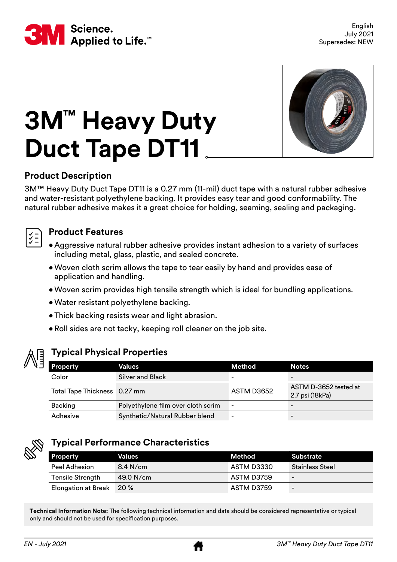<span id="page-1-0"></span>



# **3M™ Heavy Duty Duct Tape DT11**

#### **Product Description**

3M™ Heavy Duty Duct Tape DT11 is a 0.27 mm (11-mil) duct tape with a natural rubber adhesive and water-resistant polyethylene backing. It provides easy tear and good conformability. The natural rubber adhesive makes it a great choice for holding, seaming, sealing and packaging.

#### **Product Features**

- Aggressive natural rubber adhesive provides instant adhesion to a variety of surfaces including metal, glass, plastic, and sealed concrete.
- •Woven cloth scrim allows the tape to tear easily by hand and provides ease of application and handling.
- •Woven scrim provides high tensile strength which is ideal for bundling applications.
- •Water resistant polyethylene backing.
- •Thick backing resists wear and light abrasion.
- •Roll sides are not tacky, keeping roll cleaner on the job site.



#### **Typical Physical Properties**

| <b>Property</b>              | Values                             | Method                   | <b>Notes</b>                             |
|------------------------------|------------------------------------|--------------------------|------------------------------------------|
| Color                        | Silver and Black                   | $\overline{\phantom{0}}$ | $\overline{\phantom{0}}$                 |
| Total Tape Thickness 0.27 mm |                                    | ASTM D3652               | ASTM D-3652 tested at<br>2.7 psi (18kPa) |
| Backing                      | Polyethylene film over cloth scrim | $\overline{\phantom{a}}$ | $\overline{\phantom{0}}$                 |
| Adhesive                     | Synthetic/Natural Rubber blend     | ۰                        | $\overline{\phantom{0}}$                 |



#### **Typical Performance Characteristics**

| <b>Property</b>            | Values      | Method     | Substrate                |
|----------------------------|-------------|------------|--------------------------|
| Peel Adhesion              | $8.4$ N/cm  | ASTM D3330 | <b>Stainless Steel</b>   |
| <b>Tensile Strength</b>    | $49.0$ N/cm | ASTM D3759 | $\overline{\phantom{a}}$ |
| <b>Elongation at Break</b> | <b>20 %</b> | ASTM D3759 | $\overline{\phantom{0}}$ |

**Technical Information Note:** The following technical information and data should be considered representative or typical only and should not be used for specification purposes.

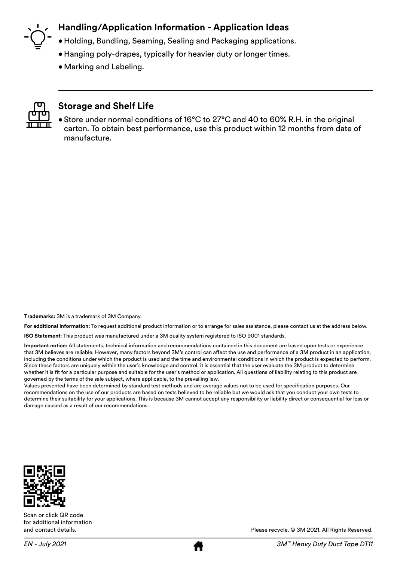

#### **Handling/Application Information - Application Ideas**

- Holding, Bundling, Seaming, Sealing and Packaging applications.
- Hanging poly-drapes, typically for heavier duty or longer times.
- •Marking and Labeling.



#### **Storage and Shelf Life**

• Store under normal conditions of 16°C to 27°C and 40 to 60% R.H. in the original carton. To obtain best performance, use this product within 12 months from date of manufacture.

**Trademarks:** 3M is a trademark of 3M Company.

**For additional information:** To request additional product information or to arrange for sales assistance, please contact us at the address below.

**ISO Statement**: This product was manufactured under a 3M quality system registered to ISO 9001 standards.

**Important notice:** All statements, technical information and recommendations contained in this document are based upon tests or experience that 3M believes are reliable. However, many factors beyond 3M's control can affect the use and performance of a 3M product in an application, including the conditions under which the product is used and the time and environmental conditions in which the product is expected to perform. Since these factors are uniquely within the user's knowledge and control, it is essential that the user evaluate the 3M product to determine whether it is fit for a particular purpose and suitable for the user's method or application. All questions of liability relating to this product are governed by the terms of the sale subject, where applicable, to the prevailing law.

Values presented have been determined by standard test methods and are average values not to be used for specification purposes. Our recommendations on the use of our products are based on tests believed to be reliable but we would ask that you conduct your own tests to determine their suitability for your applications. This is because 3M cannot accept any responsibility or liability direct or consequential for loss or damage caused as a result of our recommendations.



Scan or click QR code for additional information and contact details.



Please recycle. © 3M 2021. All Rights Reserved.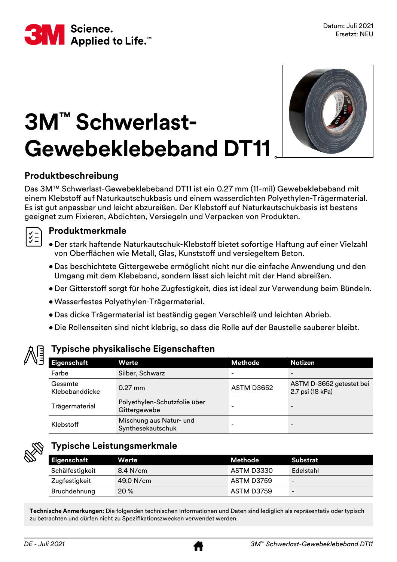

## **3M™ Schwerlast-Gewebeklebeband DT11**



#### **Produktbeschreibung**

Das 3M™ Schwerlast-Gewebeklebeband DT11 ist ein 0.27 mm (11-mil) Gewebeklebeband mit einem Klebstoff auf Naturkautschukbasis und einem wasserdichten Polyethylen-Trägermaterial. Es ist gut anpassbar und leicht abzureißen. Der Klebstoff auf Naturkautschukbasis ist bestens geeignet zum Fixieren, Abdichten, Versiegeln und Verpacken von Produkten.

#### **Produktmerkmale**

- Der stark haftende Naturkautschuk-Klebstoff bietet sofortige Haftung auf einer Vielzahl von Oberflächen wie Metall, Glas, Kunststoff und versiegeltem Beton.
	- Das beschichtete Gittergewebe ermöglicht nicht nur die einfache Anwendung und den Umgang mit dem Klebeband, sondern lässt sich leicht mit der Hand abreißen.
	- Der Gitterstoff sorgt für hohe Zugfestigkeit, dies ist ideal zur Verwendung beim Bündeln.
	- •Wasserfestes Polyethylen-Trägermaterial.
	- Das dicke Trägermaterial ist beständig gegen Verschleiß und leichten Abrieb.
	- Die Rollenseiten sind nicht klebrig, so dass die Rolle auf der Baustelle sauberer bleibt.

#### **Typische physikalische Eigenschaften**

| Eigenschaft               | Werte                                        | Methode                  | <b>Notizen</b>                               |
|---------------------------|----------------------------------------------|--------------------------|----------------------------------------------|
| Farbe                     | Silber, Schwarz                              | $\overline{\phantom{0}}$ |                                              |
| Gesamte<br>Klebebanddicke | $0.27$ mm                                    | ASTM D3652               | ASTM D-3652 getestet bei<br>2.7 psi (18 kPa) |
| Trägermaterial            | Polyethylen-Schutzfolie über<br>Gittergewebe | -                        | -                                            |
| Klebstoff                 | Mischung aus Natur- und<br>Synthesekautschuk | -                        |                                              |



#### **Typische Leistungsmerkmale**

| <b>Eigenschaft</b> | <b>Werte</b> | Methode    | Substrat                 |
|--------------------|--------------|------------|--------------------------|
| Schälfestigkeit    | $8.4$ N/cm   | ASTM D3330 | Edelstahl                |
| Zugfestigkeit      | $49.0$ N/cm  | ASTM D3759 | $\qquad \qquad$          |
| Bruchdehnung       | $20\%$       | ASTM D3759 | $\overline{\phantom{a}}$ |

**Technische Anmerkungen:** Die folgenden technischen Informationen und Daten sind lediglich als repräsentativ oder typisch zu betrachten und dürfen nicht zu Spezifikationszwecken verwendet werden.

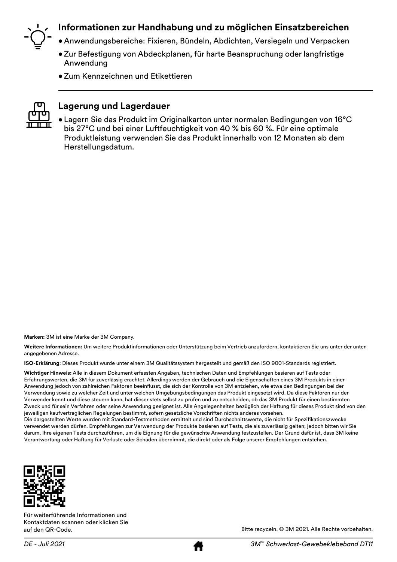

#### **Informationen zur Handhabung und zu möglichen Einsatzbereichen**

- Anwendungsbereiche: Fixieren, Bündeln, Abdichten, Versiegeln und Verpacken
- •Zur Befestigung von Abdeckplanen, für harte Beanspruchung oder langfristige Anwendung
- •Zum Kennzeichnen und Etikettieren



#### **Lagerung und Lagerdauer**

• Lagern Sie das Produkt im Originalkarton unter normalen Bedingungen von 16°C bis 27°C und bei einer Luftfeuchtigkeit von 40 % bis 60 %. Für eine optimale Produktleistung verwenden Sie das Produkt innerhalb von 12 Monaten ab dem Herstellungsdatum.

**Marken:** 3M ist eine Marke der 3M Company.

**Weitere Informationen:** Um weitere Produktinformationen oder Unterstützung beim Vertrieb anzufordern, kontaktieren Sie uns unter der unten angegebenen Adresse.

**ISO-Erklärung**: Dieses Produkt wurde unter einem 3M Qualitätssystem hergestellt und gemäß den ISO 9001-Standards registriert.

**Wichtiger Hinweis:** Alle in diesem Dokument erfassten Angaben, technischen Daten und Empfehlungen basieren auf Tests oder Erfahrungswerten, die 3M für zuverlässig erachtet. Allerdings werden der Gebrauch und die Eigenschaften eines 3M Produkts in einer Anwendung jedoch von zahlreichen Faktoren beeinflusst, die sich der Kontrolle von 3M entziehen, wie etwa den Bedingungen bei der Verwendung sowie zu welcher Zeit und unter welchen Umgebungsbedingungen das Produkt eingesetzt wird. Da diese Faktoren nur der Verwender kennt und diese steuern kann, hat dieser stets selbst zu prüfen und zu entscheiden, ob das 3M Produkt für einen bestimmten Zweck und für sein Verfahren oder seine Anwendung geeignet ist. Alle Angelegenheiten bezüglich der Haftung für dieses Produkt sind von den jeweiligen kaufvertraglichen Regelungen bestimmt, sofern gesetzliche Vorschriften nichts anderes vorsehen.

Die dargestellten Werte wurden mit Standard-Testmethoden ermittelt und sind Durchschnittswerte, die nicht für Spezifikationszwecke verwendet werden dürfen. Empfehlungen zur Verwendung der Produkte basieren auf Tests, die als zuverlässig gelten; jedoch bitten wir Sie darum, Ihre eigenen Tests durchzuführen, um die Eignung für die gewünschte Anwendung festzustellen. Der Grund dafür ist, dass 3M keine Verantwortung oder Haftung für Verluste oder Schäden übernimmt, die direkt oder als Folge unserer Empfehlungen entstehen.



Für weiterführende Informationen und Kontaktdaten scannen oder klicken Sie auf den QR-Code.

Bitte recyceln. © 3M 2021. Alle Rechte vorbehalten.

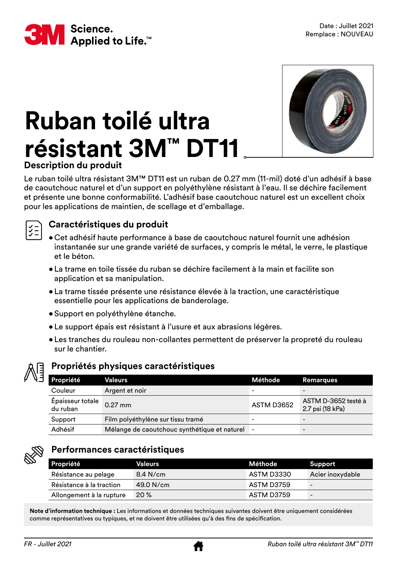

# **Ruban toilé ultra résistant 3M™ DT11**



#### **Description du produit**

Le ruban toilé ultra résistant 3M™ DT11 est un ruban de 0.27 mm (11-mil) doté d'un adhésif à base de caoutchouc naturel et d'un support en polyéthylène résistant à l'eau. Il se déchire facilement et présente une bonne conformabilité. L'adhésif base caoutchouc naturel est un excellent choix pour les applications de maintien, de scellage et d'emballage.



#### **Caractéristiques du produit**

- Cet adhésif haute performance à base de caoutchouc naturel fournit une adhésion instantanée sur une grande variété de surfaces, y compris le métal, le verre, le plastique et le béton.
- La trame en toile tissée du ruban se déchire facilement à la main et facilite son application et sa manipulation.
- La trame tissée présente une résistance élevée à la traction, une caractéristique essentielle pour les applications de banderolage.
- Support en polyéthylène étanche.
- Le support épais est résistant à l'usure et aux abrasions légères.
- Les tranches du rouleau non-collantes permettent de préserver la propreté du rouleau sur le chantier.



#### **Propriétés physiques caractéristiques**

| Propriété                    | Valeurs                                      | Méthode    | <b>Remarques</b>                        |
|------------------------------|----------------------------------------------|------------|-----------------------------------------|
| Couleur                      | Argent et noir                               |            |                                         |
| Épaisseur totale<br>du ruban | $0.27$ mm                                    | ASTM D3652 | ASTM D-3652 testé à<br>2.7 psi (18 kPa) |
| Support                      | Film polyéthylène sur tissu tramé            |            |                                         |
| Adhésif                      | Mélange de caoutchouc synthétique et naturel |            |                                         |



#### **Performances caractéristiques**

| Propriété                | <b>Valeurs</b> | Méthode    | Support          |
|--------------------------|----------------|------------|------------------|
| Résistance au pelage     | 8.4 N/cm       | ASTM D3330 | Acier inoxydable |
| Résistance à la traction | 49.0 N/cm      | ASTM D3759 |                  |
| Allongement à la rupture | 20%            | ASTM D3759 | -                |

**Note d'information technique :** Les informations et données techniques suivantes doivent être uniquement considérées comme représentatives ou typiques, et ne doivent être utilisées qu'à des fins de spécification.

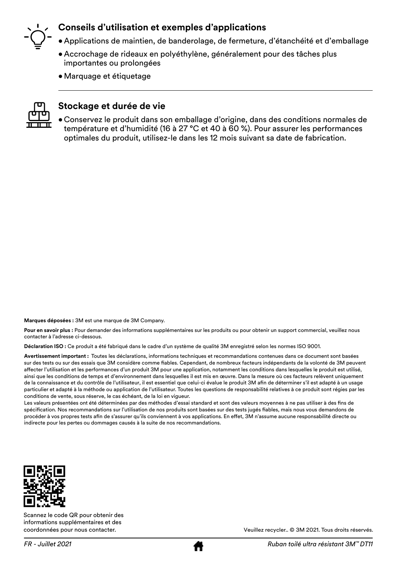

#### **Conseils d'utilisation et exemples d'applications**

- Applications de maintien, de banderolage, de fermeture, d'étanchéité et d'emballage
- Accrochage de rideaux en polyéthylène, généralement pour des tâches plus importantes ou prolongées
- •Marquage et étiquetage



#### **Stockage et durée de vie**

• Conservez le produit dans son emballage d'origine, dans des conditions normales de température et d'humidité (16 à 27 °C et 40 à 60 %). Pour assurer les performances optimales du produit, utilisez-le dans les 12 mois suivant sa date de fabrication.

**Marques déposées :** 3M est une marque de 3M Company.

**Pour en savoir plus :** Pour demander des informations supplémentaires sur les produits ou pour obtenir un support commercial, veuillez nous contacter à l'adresse ci-dessous.

**Déclaration ISO :** Ce produit a été fabriqué dans le cadre d'un système de qualité 3M enregistré selon les normes ISO 9001.

**Avertissement important :** Toutes les déclarations, informations techniques et recommandations contenues dans ce document sont basées sur des tests ou sur des essais que 3M considère comme fiables. Cependant, de nombreux facteurs indépendants de la volonté de 3M peuvent affecter l'utilisation et les performances d'un produit 3M pour une application, notamment les conditions dans lesquelles le produit est utilisé, ainsi que les conditions de temps et d'environnement dans lesquelles il est mis en œuvre. Dans la mesure où ces facteurs relèvent uniquement de la connaissance et du contrôle de l'utilisateur, il est essentiel que celui-ci évalue le produit 3M afin de déterminer s'il est adapté à un usage particulier et adapté à la méthode ou application de l'utilisateur. Toutes les questions de responsabilité relatives à ce produit sont régies par les conditions de vente, sous réserve, le cas échéant, de la loi en vigueur.

Les valeurs présentées ont été déterminées par des méthodes d'essai standard et sont des valeurs moyennes à ne pas utiliser à des fins de spécification. Nos recommandations sur l'utilisation de nos produits sont basées sur des tests jugés fiables, mais nous vous demandons de procéder à vos propres tests afin de s'assurer qu'ils conviennent à vos applications. En effet, 3M n'assume aucune responsabilité directe ou indirecte pour les pertes ou dommages causés à la suite de nos recommandations.



Scannez le code QR pour obtenir des informations supplémentaires et des coordonnées pour nous contacter.



Veuillez recycler.. © 3M 2021. Tous droits réservés.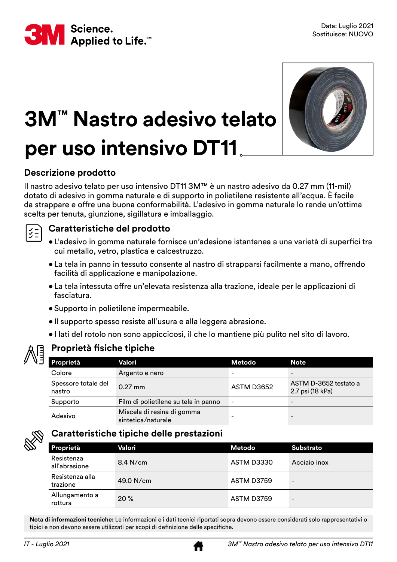



### **3M™ Nastro adesivo telato per uso intensivo DT11**

#### **Descrizione prodotto**

Il nastro adesivo telato per uso intensivo DT11 3M™ è un nastro adesivo da 0.27 mm (11-mil) dotato di adesivo in gomma naturale e di supporto in polietilene resistente all'acqua. È facile da strappare e offre una buona conformabilità. L'adesivo in gomma naturale lo rende un'ottima scelta per tenuta, giunzione, sigillatura e imballaggio.



#### **Caratteristiche del prodotto**

- L'adesivo in gomma naturale fornisce un'adesione istantanea a una varietà di superfici tra cui metallo, vetro, plastica e calcestruzzo.
- La tela in panno in tessuto consente al nastro di strapparsi facilmente a mano, offrendo facilità di applicazione e manipolazione.
- La tela intessuta offre un'elevata resistenza alla trazione, ideale per le applicazioni di fasciatura.
- Supporto in polietilene impermeabile.
- Il supporto spesso resiste all'usura e alla leggera abrasione.
- I lati del rotolo non sono appiccicosi, il che lo mantiene più pulito nel sito di lavoro.



#### **Proprietà fisiche tipiche**

| Proprietà                     | Valori                                           | Metodo                       | <b>Note</b>                               |
|-------------------------------|--------------------------------------------------|------------------------------|-------------------------------------------|
| Colore                        | Argento e nero                                   |                              | -                                         |
| Spessore totale del<br>nastro | $0.27$ mm                                        | ASTM D3652                   | ASTM D-3652 testato a<br>2.7 psi (18 kPa) |
| Supporto                      | Film di polietilene su tela in panno             | $\qquad \qquad \blacksquare$ | -                                         |
| Adesivo                       | Miscela di resina di gomma<br>sintetica/naturale |                              |                                           |



#### **Caratteristiche tipiche delle prestazioni**

| Proprietà                   | Valori      | Metodo     | <b>Substrato</b>         |
|-----------------------------|-------------|------------|--------------------------|
| Resistenza<br>all'abrasione | $8.4$ N/cm  | ASTM D3330 | Acciaio inox             |
| Resistenza alla<br>trazione | $49.0$ N/cm | ASTM D3759 | $\qquad \qquad -$        |
| Allungamento a<br>rottura   | 20%         | ASTM D3759 | $\overline{\phantom{a}}$ |

**Nota di informazioni tecniche:** Le informazioni e i dati tecnici riportati sopra devono essere considerati solo rappresentativi o tipici e non devono essere utilizzati per scopi di definizione delle specifiche.

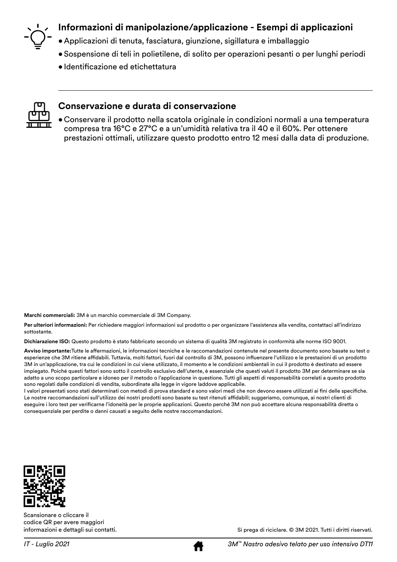

#### **Informazioni di manipolazione/applicazione - Esempi di applicazioni**

- Applicazioni di tenuta, fasciatura, giunzione, sigillatura e imballaggio
- Sospensione di teli in polietilene, di solito per operazioni pesanti o per lunghi periodi
- Identificazione ed etichettatura



#### **Conservazione e durata di conservazione**

• Conservare il prodotto nella scatola originale in condizioni normali a una temperatura compresa tra 16°C e 27°C e a un'umidità relativa tra il 40 e il 60%. Per ottenere prestazioni ottimali, utilizzare questo prodotto entro 12 mesi dalla data di produzione.

**Marchi commerciali:** 3M è un marchio commerciale di 3M Company.

Per ulteriori informazioni: Per richiedere maggiori informazioni sul prodotto o per organizzare l'assistenza alla vendita, contattaci all'indirizzo sottostante.

**Dichiarazione ISO:** Questo prodotto è stato fabbricato secondo un sistema di qualità 3M registrato in conformità alle norme ISO 9001.

**Avviso importante:**Tutte le affermazioni, le informazioni tecniche e le raccomandazioni contenute nel presente documento sono basate su test o esperienze che 3M ritiene affidabili. Tuttavia, molti fattori, fuori dal controllo di 3M, possono influenzare l'utilizzo e le prestazioni di un prodotto 3M in un'applicazione, tra cui le condizioni in cui viene utilizzato, il momento e le condizioni ambientali in cui il prodotto è destinato ad essere impiegato. Poiché questi fattori sono sotto il controllo esclusivo dell'utente, è essenziale che questi valuti il prodotto 3M per determinare se sia adatto a uno scopo particolare e idoneo per il metodo o l'applicazione in questione. Tutti gli aspetti di responsabilità correlati a questo prodotto sono regolati dalle condizioni di vendita, subordinate alla legge in vigore laddove applicabile.

I valori presentati sono stati determinati con metodi di prova standard e sono valori medi che non devono essere utilizzati ai fini delle specifiche. Le nostre raccomandazioni sull'utilizzo dei nostri prodotti sono basate su test ritenuti affidabili; suggeriamo, comunque, ai nostri clienti di eseguire i loro test per verificarne l'idoneità per le proprie applicazioni. Questo perché 3M non può accettare alcuna responsabilità diretta o consequenziale per perdite o danni causati a seguito delle nostre raccomandazioni.



Scansionare o cliccare il codice QR per avere maggiori informazioni e dettagli sui contatti.

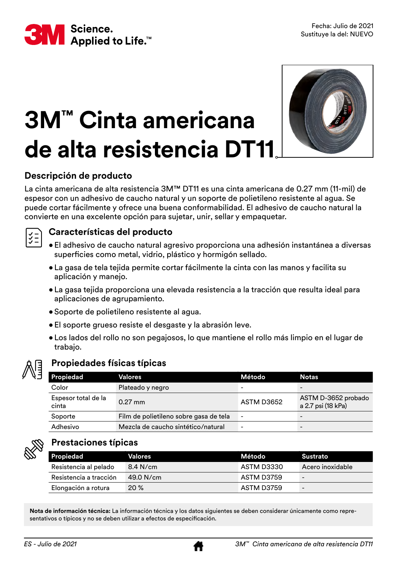

# **3M™ Cinta americana de alta resistencia DT11**



#### **Descripción de producto**

La cinta americana de alta resistencia 3M™ DT11 es una cinta americana de 0.27 mm (11-mil) de espesor con un adhesivo de caucho natural y un soporte de polietileno resistente al agua. Se puede cortar fácilmente y ofrece una buena conformabilidad. El adhesivo de caucho natural la convierte en una excelente opción para sujetar, unir, sellar y empaquetar.



#### **Características del producto**

- El adhesivo de caucho natural agresivo proporciona una adhesión instantánea a diversas superficies como metal, vidrio, plástico y hormigón sellado.
- La gasa de tela tejida permite cortar fácilmente la cinta con las manos y facilita su aplicación y manejo.
- La gasa tejida proporciona una elevada resistencia a la tracción que resulta ideal para aplicaciones de agrupamiento.
- Soporte de polietileno resistente al agua.
- El soporte grueso resiste el desgaste y la abrasión leve.
- Los lados del rollo no son pegajosos, lo que mantiene el rollo más limpio en el lugar de trabajo.



#### **Propiedades físicas típicas**

| <b>Propiedad</b>             | Valores                                | Método                   | <b>Notas</b>                              |
|------------------------------|----------------------------------------|--------------------------|-------------------------------------------|
| Color                        | Plateado y negro                       | -                        | $\overline{\phantom{0}}$                  |
| Espesor total de la<br>cinta | $0.27$ mm                              | ASTM D3652               | ASTM D-3652 probado<br>a 2.7 psi (18 kPa) |
| Soporte                      | Film de polietileno sobre gasa de tela | $\overline{\phantom{a}}$ | $\overline{\phantom{0}}$                  |
| Adhesivo                     | Mezcla de caucho sintético/natural     | $\overline{\phantom{0}}$ | $\overline{\phantom{0}}$                  |



#### **Prestaciones típicas**

| Propiedad              | <b>Valores</b> | Método l   | Sustrato                 |
|------------------------|----------------|------------|--------------------------|
| Resistencia al pelado  | 8.4 N/cm       | ASTM D3330 | Acero inoxidable         |
| Resistencia a tracción | 49.0 N/cm      | ASTM D3759 | $\overline{\phantom{0}}$ |
| Elongación a rotura    | 20%            | ASTM D3759 | $\overline{\phantom{a}}$ |

**Nota de información técnica:** La información técnica y los datos siguientes se deben considerar únicamente como representativos o típicos y no se deben utilizar a efectos de especificación.

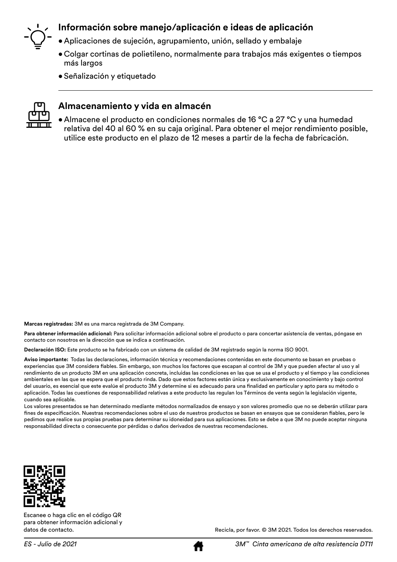

#### **Información sobre manejo/aplicación e ideas de aplicación**

- Aplicaciones de sujeción, agrupamiento, unión, sellado y embalaje
- Colgar cortinas de polietileno, normalmente para trabajos más exigentes o tiempos más largos
- Señalización y etiquetado



#### **Almacenamiento y vida en almacén**

• Almacene el producto en condiciones normales de 16 °C a 27 °C y una humedad relativa del 40 al 60 % en su caja original. Para obtener el mejor rendimiento posible, utilice este producto en el plazo de 12 meses a partir de la fecha de fabricación.

**Marcas registradas:** 3M es una marca registrada de 3M Company.

**Para obtener información adicional:** Para solicitar información adicional sobre el producto o para concertar asistencia de ventas, póngase en contacto con nosotros en la dirección que se indica a continuación.

**Declaración ISO:** Este producto se ha fabricado con un sistema de calidad de 3M registrado según la norma ISO 9001.

**Aviso importante:** Todas las declaraciones, información técnica y recomendaciones contenidas en este documento se basan en pruebas o experiencias que 3M considera fiables. Sin embargo, son muchos los factores que escapan al control de 3M y que pueden afectar al uso y al rendimiento de un producto 3M en una aplicación concreta, incluidas las condiciones en las que se usa el producto y el tiempo y las condiciones ambientales en las que se espera que el producto rinda. Dado que estos factores están única y exclusivamente en conocimiento y bajo control del usuario, es esencial que este evalúe el producto 3M y determine si es adecuado para una finalidad en particular y apto para su método o aplicación. Todas las cuestiones de responsabilidad relativas a este producto las regulan los Términos de venta según la legislación vigente, cuando sea aplicable.

Los valores presentados se han determinado mediante métodos normalizados de ensayo y son valores promedio que no se deberán utilizar para fines de especificación. Nuestras recomendaciones sobre el uso de nuestros productos se basan en ensayos que se consideran fiables, pero le pedimos que realice sus propias pruebas para determinar su idoneidad para sus aplicaciones. Esto se debe a que 3M no puede aceptar ninguna responsabilidad directa o consecuente por pérdidas o daños derivados de nuestras recomendaciones.



Escanee o haga clic en el código QR para obtener información adicional y datos de contacto.

Recicla, por favor. © 3M 2021. Todos los derechos reservados.

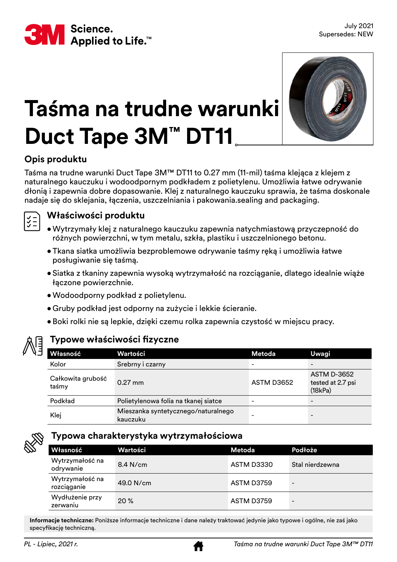



### **Taśma na trudne warunki Duct Tape 3M™ DT11**

#### **Opis produktu**

Taśma na trudne warunki Duct Tape 3M™ DT11 to 0.27 mm (11-mil) taśma klejąca z klejem z naturalnego kauczuku i wodoodpornym podkładem z polietylenu. Umożliwia łatwe odrywanie dłonią i zapewnia dobre dopasowanie. Klej z naturalnego kauczuku sprawia, że taśma doskonale nadaje się do sklejania, łączenia, uszczelniania i pakowania.sealing and packaging.



#### **Właściwości produktu**

- •Wytrzymały klej z naturalnego kauczuku zapewnia natychmiastową przyczepność do różnych powierzchni, w tym metalu, szkła, plastiku i uszczelnionego betonu.
- •Tkana siatka umożliwia bezproblemowe odrywanie taśmy ręką i umożliwia łatwe posługiwanie się taśmą.
- Siatka z tkaniny zapewnia wysoką wytrzymałość na rozciąganie, dlatego idealnie wiąże łączone powierzchnie.
- •Wodoodporny podkład z polietylenu.
- •Gruby podkład jest odporny na zużycie i lekkie ścieranie.
- •Boki rolki nie są lepkie, dzięki czemu rolka zapewnia czystość w miejscu pracy.



#### **Typowe właściwości fizyczne**

| Własność                   | Wartości                                        | Metoda                   | Uwagi                                              |
|----------------------------|-------------------------------------------------|--------------------------|----------------------------------------------------|
| Kolor                      | Srebrny i czarny                                | $\overline{\phantom{0}}$ |                                                    |
| Całkowita grubość<br>taśmy | $0.27$ mm                                       | ASTM D3652               | <b>ASTM D-3652</b><br>tested at 2.7 psi<br>(18kPa) |
| Podkład                    | Polietylenowa folia na tkanej siatce            |                          |                                                    |
| Klej                       | Mieszanka syntetycznego/naturalnego<br>kauczuku |                          |                                                    |



#### **Typowa charakterystyka wytrzymałościowa**

| Własność                       | Wartości    | Metoda     | Podłoże         |
|--------------------------------|-------------|------------|-----------------|
| Wytrzymałość na<br>odrywanie   | $8.4$ N/cm  | ASTM D3330 | Stal nierdzewna |
| Wytrzymałość na<br>rozciąganie | $49.0$ N/cm | ASTM D3759 |                 |
| Wydłużenie przy<br>zerwaniu    | 20%         | ASTM D3759 |                 |

**Informacje techniczne:** Poniższe informacje techniczne i dane należy traktować jedynie jako typowe i ogólne, nie zaś jako specyfikację techniczną.